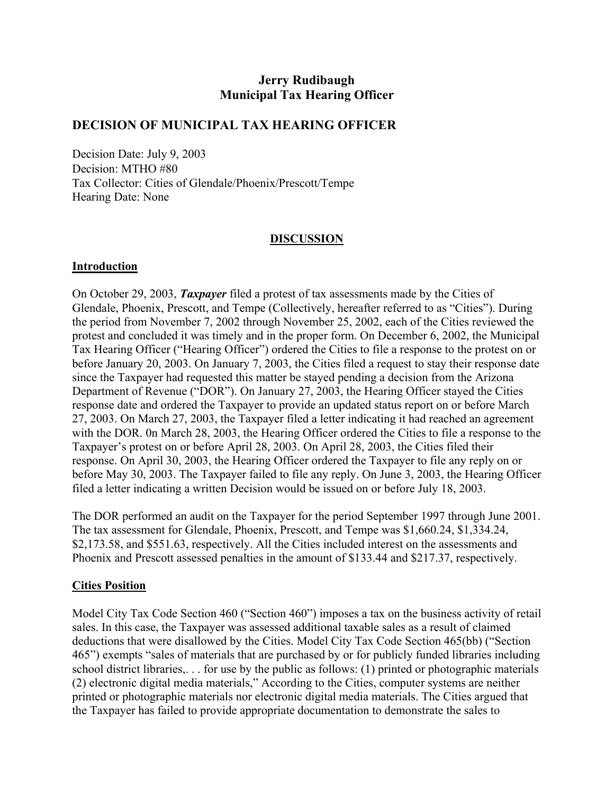# **Jerry Rudibaugh Municipal Tax Hearing Officer**

## **DECISION OF MUNICIPAL TAX HEARING OFFICER**

Decision Date: July 9, 2003 Decision: MTHO #80 Tax Collector: Cities of Glendale/Phoenix/Prescott/Tempe Hearing Date: None

#### **DISCUSSION**

#### **Introduction**

On October 29, 2003, *Taxpayer* filed a protest of tax assessments made by the Cities of Glendale, Phoenix, Prescott, and Tempe (Collectively, hereafter referred to as "Cities"). During the period from November 7, 2002 through November 25, 2002, each of the Cities reviewed the protest and concluded it was timely and in the proper form. On December 6, 2002, the Municipal Tax Hearing Officer ("Hearing Officer") ordered the Cities to file a response to the protest on or before January 20, 2003. On January 7, 2003, the Cities filed a request to stay their response date since the Taxpayer had requested this matter be stayed pending a decision from the Arizona Department of Revenue ("DOR"). On January 27, 2003, the Hearing Officer stayed the Cities response date and ordered the Taxpayer to provide an updated status report on or before March 27, 2003. On March 27, 2003, the Taxpayer filed a letter indicating it had reached an agreement with the DOR. 0n March 28, 2003, the Hearing Officer ordered the Cities to file a response to the Taxpayer's protest on or before April 28, 2003. On April 28, 2003, the Cities filed their response. On April 30, 2003, the Hearing Officer ordered the Taxpayer to file any reply on or before May 30, 2003. The Taxpayer failed to file any reply. On June 3, 2003, the Hearing Officer filed a letter indicating a written Decision would be issued on or before July 18, 2003.

The DOR performed an audit on the Taxpayer for the period September 1997 through June 2001. The tax assessment for Glendale, Phoenix, Prescott, and Tempe was \$1,660.24, \$1,334.24, \$2,173.58, and \$551.63, respectively. All the Cities included interest on the assessments and Phoenix and Prescott assessed penalties in the amount of \$133.44 and \$217.37, respectively.

#### **Cities Position**

Model City Tax Code Section 460 ("Section 460") imposes a tax on the business activity of retail sales. In this case, the Taxpayer was assessed additional taxable sales as a result of claimed deductions that were disallowed by the Cities. Model City Tax Code Section 465(bb) ("Section 465") exempts "sales of materials that are purchased by or for publicly funded libraries including school district libraries,. . . for use by the public as follows: (1) printed or photographic materials (2) electronic digital media materials," According to the Cities, computer systems are neither printed or photographic materials nor electronic digital media materials. The Cities argued that the Taxpayer has failed to provide appropriate documentation to demonstrate the sales to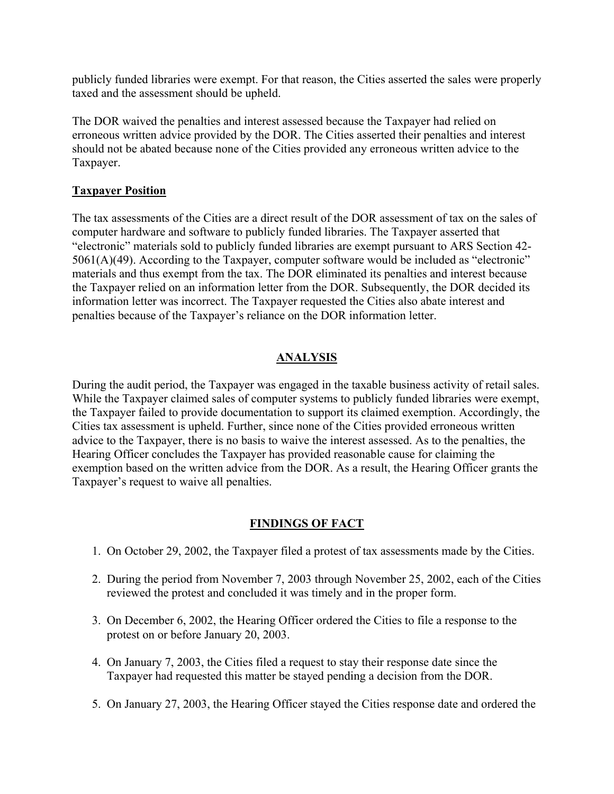publicly funded libraries were exempt. For that reason, the Cities asserted the sales were properly taxed and the assessment should be upheld.

The DOR waived the penalties and interest assessed because the Taxpayer had relied on erroneous written advice provided by the DOR. The Cities asserted their penalties and interest should not be abated because none of the Cities provided any erroneous written advice to the Taxpayer.

## **Taxpayer Position**

The tax assessments of the Cities are a direct result of the DOR assessment of tax on the sales of computer hardware and software to publicly funded libraries. The Taxpayer asserted that "electronic" materials sold to publicly funded libraries are exempt pursuant to ARS Section 42- 5061(A)(49). According to the Taxpayer, computer software would be included as "electronic" materials and thus exempt from the tax. The DOR eliminated its penalties and interest because the Taxpayer relied on an information letter from the DOR. Subsequently, the DOR decided its information letter was incorrect. The Taxpayer requested the Cities also abate interest and penalties because of the Taxpayer's reliance on the DOR information letter.

# **ANALYSIS**

During the audit period, the Taxpayer was engaged in the taxable business activity of retail sales. While the Taxpayer claimed sales of computer systems to publicly funded libraries were exempt, the Taxpayer failed to provide documentation to support its claimed exemption. Accordingly, the Cities tax assessment is upheld. Further, since none of the Cities provided erroneous written advice to the Taxpayer, there is no basis to waive the interest assessed. As to the penalties, the Hearing Officer concludes the Taxpayer has provided reasonable cause for claiming the exemption based on the written advice from the DOR. As a result, the Hearing Officer grants the Taxpayer's request to waive all penalties.

# **FINDINGS OF FACT**

- 1. On October 29, 2002, the Taxpayer filed a protest of tax assessments made by the Cities.
- 2. During the period from November 7, 2003 through November 25, 2002, each of the Cities reviewed the protest and concluded it was timely and in the proper form.
- 3. On December 6, 2002, the Hearing Officer ordered the Cities to file a response to the protest on or before January 20, 2003.
- 4. On January 7, 2003, the Cities filed a request to stay their response date since the Taxpayer had requested this matter be stayed pending a decision from the DOR.
- 5. On January 27, 2003, the Hearing Officer stayed the Cities response date and ordered the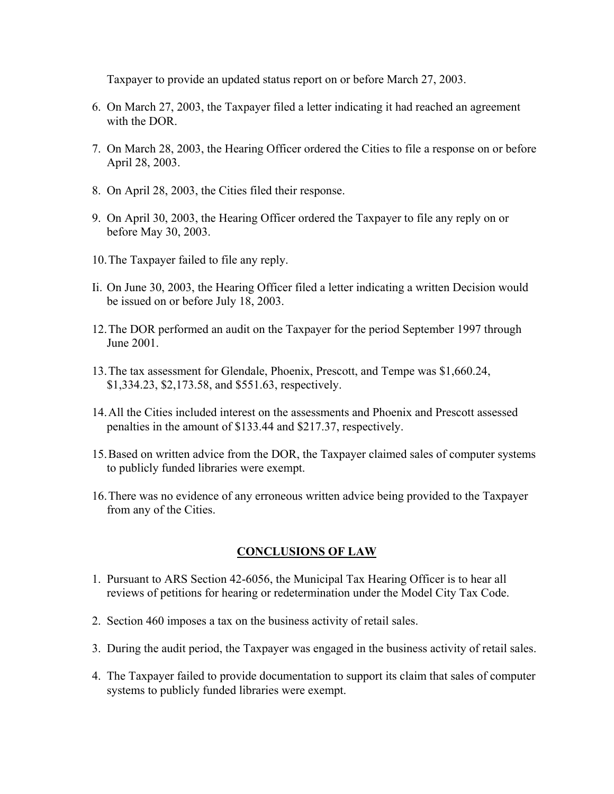Taxpayer to provide an updated status report on or before March 27, 2003.

- 6. On March 27, 2003, the Taxpayer filed a letter indicating it had reached an agreement with the DOR.
- 7. On March 28, 2003, the Hearing Officer ordered the Cities to file a response on or before April 28, 2003.
- 8. On April 28, 2003, the Cities filed their response.
- 9. On April 30, 2003, the Hearing Officer ordered the Taxpayer to file any reply on or before May 30, 2003.
- 10. The Taxpayer failed to file any reply.
- Ii. On June 30, 2003, the Hearing Officer filed a letter indicating a written Decision would be issued on or before July 18, 2003.
- 12. The DOR performed an audit on the Taxpayer for the period September 1997 through June 2001.
- 13. The tax assessment for Glendale, Phoenix, Prescott, and Tempe was \$1,660.24, \$1,334.23, \$2,173.58, and \$551.63, respectively.
- 14. All the Cities included interest on the assessments and Phoenix and Prescott assessed penalties in the amount of \$133.44 and \$217.37, respectively.
- 15. Based on written advice from the DOR, the Taxpayer claimed sales of computer systems to publicly funded libraries were exempt.
- 16. There was no evidence of any erroneous written advice being provided to the Taxpayer from any of the Cities.

## **CONCLUSIONS OF LAW**

- 1. Pursuant to ARS Section 42-6056, the Municipal Tax Hearing Officer is to hear all reviews of petitions for hearing or redetermination under the Model City Tax Code.
- 2. Section 460 imposes a tax on the business activity of retail sales.
- 3. During the audit period, the Taxpayer was engaged in the business activity of retail sales.
- 4. The Taxpayer failed to provide documentation to support its claim that sales of computer systems to publicly funded libraries were exempt.